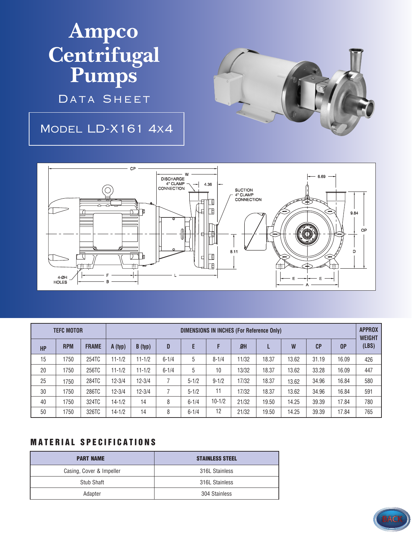## **Ampco Centrifugal Pumps**

DATA SHEET

## Model LD-X161 4x4





| <b>TEFC MOTOR</b> |            |              | DIMENSIONS IN INCHES (For Reference Only) |            |           |           |            |           |       |       |                |       | <b>APPROX</b><br><b>WEIGHT</b> |
|-------------------|------------|--------------|-------------------------------------------|------------|-----------|-----------|------------|-----------|-------|-------|----------------|-------|--------------------------------|
| <b>HP</b>         | <b>RPM</b> | <b>FRAME</b> | A (typ)                                   | B (typ)    | D         | E         | F          | <b>ØH</b> |       | W     | C <sub>P</sub> | 0P    | (LBS)                          |
| 15                | 1750       | 254TC        | $11 - 1/2$                                | $11 - 1/2$ | $6 - 1/4$ | 5         | $8 - 1/4$  | 11/32     | 18.37 | 13.62 | 31.19          | 16.09 | 426                            |
| 20                | 1750       | 256TC        | $11 - 1/2$                                | $11 - 1/2$ | $6 - 1/4$ | 5         | 10         | 13/32     | 18.37 | 13.62 | 33.28          | 16.09 | 447                            |
| 25                | 1750       | 284TC        | $12 - 3/4$                                | $12 - 3/4$ |           | $5 - 1/2$ | $9 - 1/2$  | 17/32     | 18.37 | 13.62 | 34.96          | 16.84 | 580                            |
| 30                | 1750       | 286TC        | $12 - 3/4$                                | $12 - 3/4$ |           | $5 - 1/2$ | 11         | 17/32     | 18.37 | 13.62 | 34.96          | 16.84 | 591                            |
| 40                | 1750       | 324TC        | $14 - 1/2$                                | 14         | 8         | $6 - 1/4$ | $10 - 1/2$ | 21/32     | 19.50 | 14.25 | 39.39          | 17.84 | 780                            |
| 50                | 1750       | 326TC        | $14 - 1/2$                                | 14         | 8         | $6 - 1/4$ | 12         | 21/32     | 19.50 | 14.25 | 39.39          | 17.84 | 765                            |

## **MATERIAL SPECIFICATIONS**

| <b>PART NAME</b>         | <b>STAINLESS STEEL</b> |
|--------------------------|------------------------|
| Casing, Cover & Impeller | 316L Stainless         |
| Stub Shaft               | 316L Stainless         |
| Adapter                  | 304 Stainless          |